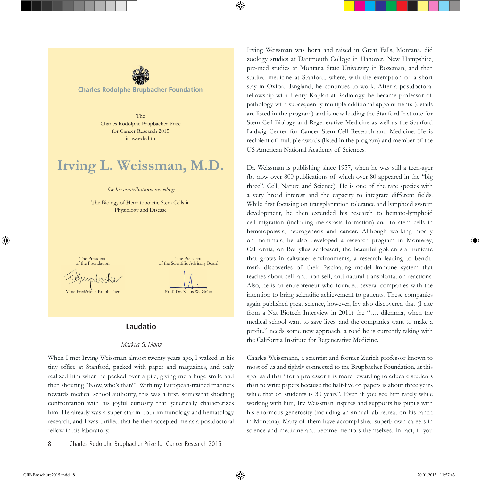

**Charles Rodolphe Brupbacher Foundation**

The Charles Rodolphe Brupbacher Prize for Cancer Research 2015 is awarded to

# **Irving L. Weissman, M.D.**

#### for his contributions revealing

The Biology of Hematopoietic Stem Cells in Physiology and Disease

The President of the Foundation

F. Buy bacher

Mme Frédérique Brupbacher



## **Laudatio**

#### Markus G. Manz

When I met Irving Weissman almost twenty years ago, I walked in his tiny office at Stanford, packed with paper and magazines, and only realized him when he peeked over a pile, giving me a huge smile and then shouting "Now, who's that?". With my European-trained manners towards medical school authority, this was a first, somewhat shocking confrontation with his joyful curiosity that generically characterizes him. He already was a super-star in both immunology and hematology research, and I was thrilled that he then accepted me as a postdoctoral fellow in his laboratory.

Irving Weissman was born and raised in Great Falls, Montana, did zoology studies at Dartmouth College in Hanover, New Hampshire, pre-med studies at Montana State University in Bozeman, and then studied medicine at Stanford, where, with the exemption of a short stay in Oxford England, he continues to work. After a postdoctoral fellowship with Henry Kaplan at Radiology, he became professor of pathology with subsequently multiple additional appointments (details are listed in the program) and is now leading the Stanford Institute for Stem Cell Biology and Regenerative Medicine as well as the Stanford Ludwig Center for Cancer Stem Cell Research and Medicine. He is recipient of multiple awards (listed in the program) and member of the US American National Academy of Sciences.

Dr. Weissman is publishing since 1957, when he was still a teen-ager (by now over 800 publications of which over 80 appeared in the "big three", Cell, Nature and Science). He is one of the rare species with a very broad interest and the capacity to integrate different fields. While first focusing on transplantation tolerance and lymphoid system development, he then extended his research to hemato-lymphoid cell migration (including metastasis formation) and to stem cells in hematopoiesis, neurogenesis and cancer. Although working mostly on mammals, he also developed a research program in Monterey, California, on Botryllus schlosseri, the beautiful golden star tunicate that grows in saltwater environments, a research leading to benchmark discoveries of their fascinating model immune system that teaches about self and non-self, and natural transplantation reactions. Also, he is an entrepreneur who founded several companies with the intention to bring scientific achievement to patients. These companies again published great science, however, Irv also discovered that (I cite from a Nat Biotech Interview in 2011) the "…. dilemma, when the medical school want to save lives, and the companies want to make a profit.." needs some new approach, a road he is currently taking with the California Institute for Regenerative Medicine.

Charles Weissmann, a scientist and former Zürich professor known to most of us and tightly connected to the Brupbacher Foundation, at this spot said that "for a professor it is more rewarding to educate students than to write papers because the half-live of papers is about three years while that of students is 30 years". Even if you see him rarely while working with him, Irv Weissman inspires and supports his pupils with his enormous generosity (including an annual lab-retreat on his ranch in Montana). Many of them have accomplished superb own careers in science and medicine and became mentors themselves. In fact, if you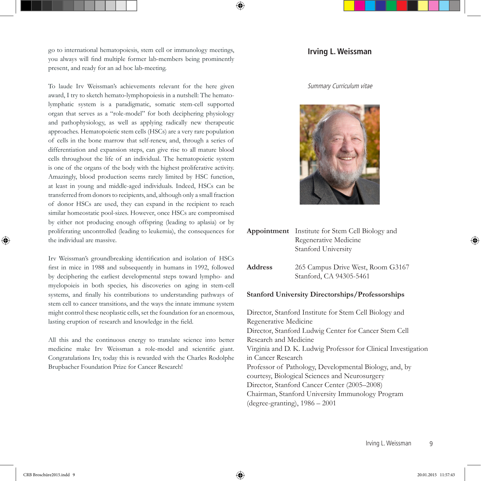go to international hematopoiesis, stem cell or immunology meetings, you always will find multiple former lab-members being prominently present, and ready for an ad hoc lab-meeting.

To laude Irv Weissman's achievements relevant for the here given award, I try to sketch hemato-lymphopoiesis in a nutshell: The hematolymphatic system is a paradigmatic, somatic stem-cell supported organ that serves as a "role-model" for both deciphering physiology and pathophysiology, as well as applying radically new therapeutic approaches. Hematopoietic stem cells (HSCs) are a very rare population of cells in the bone marrow that self-renew, and, through a series of differentiation and expansion steps, can give rise to all mature blood cells throughout the life of an individual. The hematopoietic system is one of the organs of the body with the highest proliferative activity. Amazingly, blood production seems rarely limited by HSC function, at least in young and middle-aged individuals. Indeed, HSCs can be transferred from donors to recipients, and, although only a small fraction of donor HSCs are used, they can expand in the recipient to reach similar homeostatic pool-sizes. However, once HSCs are compromised by either not producing enough offspring (leading to aplasia) or by proliferating uncontrolled (leading to leukemia), the consequences for the individual are massive.

Irv Weissman's groundbreaking identification and isolation of HSCs first in mice in 1988 and subsequently in humans in 1992, followed by deciphering the earliest developmental steps toward lympho- and myelopoieis in both species, his discoveries on aging in stem-cell systems, and finally his contributions to understanding pathways of stem cell to cancer transitions, and the ways the innate immune system might control these neoplastic cells, set the foundation for an enormous, lasting eruption of research and knowledge in the field.

All this and the continuous energy to translate science into better medicine make Irv Weissman a role-model and scientific giant. Congratulations Irv, today this is rewarded with the Charles Rodolphe Brupbacher Foundation Prize for Cancer Research!

#### **Irving L. Weissman**

#### Summary Curriculum vitae



- **Appointment** Institute for Stem Cell Biology and Regenerative Medicine Stanford University
- **Address** 265 Campus Drive West, Room G3167 Stanford, CA 94305-5461

#### **Stanford University Directorships/Professorships**

Director, Stanford Institute for Stem Cell Biology and Regenerative Medicine Director, Stanford Ludwig Center for Cancer Stem Cell Research and Medicine Virginia and D. K. Ludwig Professor for Clinical Investigation in Cancer Research Professor of Pathology, Developmental Biology, and, by courtesy, Biological Sciences and Neurosurgery Director, Stanford Cancer Center (2005–2008) Chairman, Stanford University Immunology Program (degree-granting), 1986 – 2001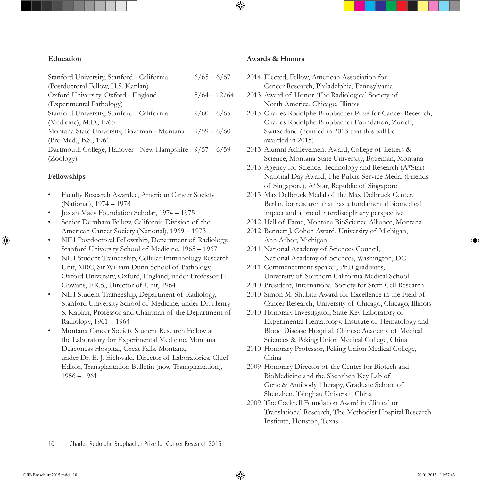#### **Education**

| Stanford University, Stanford - California             | $6/65 - 6/67$  |
|--------------------------------------------------------|----------------|
| (Postdoctoral Fellow, H.S. Kaplan)                     |                |
| Oxford University, Oxford - England                    | $5/64 - 12/64$ |
| (Experimental Pathology)                               |                |
| Stanford University, Stanford - California             | $9/60 - 6/65$  |
| (Medicine), M.D., 1965                                 |                |
| Montana State University, Bozeman - Montana            | $9/59 - 6/60$  |
| (Pre-Med), B.S., 1961                                  |                |
| Dartmouth College, Hanover - New Hampshire 9/57 - 6/59 |                |
| (Zoology)                                              |                |

## **Fellowships**

- Faculty Research Awardee, American Cancer Society (National), 1974 – 1978
- Josiah Macy Foundation Scholar, 1974 1975
- Senior Dernham Fellow, California Division of the American Cancer Society (National), 1969 – 1973
- NIH Postdoctoral Fellowship, Department of Radiology, Stanford University School of Medicine, 1965 – 1967
- NIH Student Traineeship, Cellular Immunology Research Unit, MRC, Sir William Dunn School of Pathology, Oxford University, Oxford, England, under Professor J.L. Gowans, F.R.S., Director of Unit, 1964
- NIH Student Traineeship, Department of Radiology, Stanford University School of Medicine, under Dr. Henry S. Kaplan, Professor and Chairman of the Department of Radiology, 1961 – 1964
- Montana Cancer Society Student Research Fellow at the Laboratory for Experimental Medicine, Montana Deaconess Hospital, Great Falls, Montana, under Dr. E. J. Eichwald, Director of Laboratories, Chief Editor, Transplantation Bulletin (now Transplantation), 1956 – 1961

## **Awards & Honors**

- 2014 Elected, Fellow, American Association for Cancer Research, Philadelphia, Pennsylvania
- 2013 Award of Honor, The Radiological Society of North America, Chicago, Illinois
- 2013 Charles Rodolphe Brupbacher Prize for Cancer Research, Charles Rodolphe Brupbacher Foundation, Zurich, Switzerland (notified in 2013 that this will be awarded in 2015)
- 2013 Alumni Achievement Award, College of Letters & Science, Montana State University, Bozeman, Montana
- 2013 Agency for Science, Technology and Research (A\*Star) National Day Award, The Public Service Medal (Friends of Singapore), A\*Star, Republic of Singapore
- 2013 Max Delbruck Medal of the Max Delbruck Center, Berlin, for research that has a fundamental biomedical impact and a broad interdisciplinary perspective
- 2012 Hall of Fame, Montana BioScience Alliance, Montana
- 2012 Bennett J. Cohen Award, University of Michigan, Ann Arbor, Michigan
- 2011 National Academy of Sciences Council, National Academy of Sciences, Washington, DC
- 2011 Commencement speaker, PhD graduates, University of Southern California Medical School
- 2010 President, International Society for Stem Cell Research
- 2010 Simon M. Shubitz Award for Excellence in the Field of Cancer Research, University of Chicago, Chicago, Illinois
- 2010 Honorary Investigator, State Key Laboratory of Experimental Hematology, Institute of Hematology and Blood Disease Hospital, Chinese Academy of Medical Sciences & Peking Union Medical College, China
- 2010 Honorary Professor, Peking Union Medical College, China
- 2009 Honorary Director of the Center for Biotech and BioMedicine and the Shenzhen Key Lab of Gene & Antibody Therapy, Graduate School of Shenzhen, Tsinghau Universit, China
- 2009 The Cockrell Foundation Award in Clinical or Translational Research, The Methodist Hospital Research Institute, Houston, Texas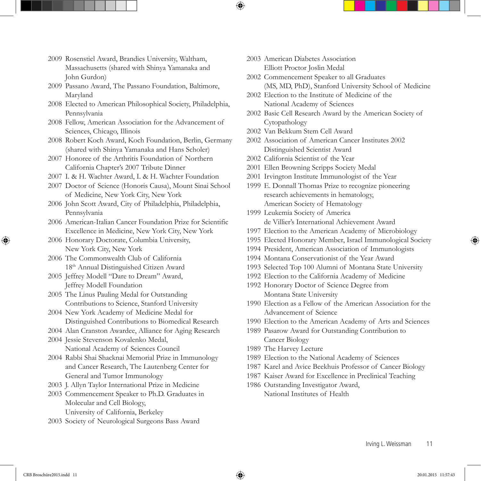- 2009 Rosenstiel Award, Brandies University, Waltham, Massachusetts (shared with Shinya Yamanaka and John Gurdon)
- 2009 Passano Award, The Passano Foundation, Baltimore, Maryland
- 2008 Elected to American Philosophical Society, Philadelphia, Pennsylvania
- 2008 Fellow, American Association for the Advancement of Sciences, Chicago, Illinois
- 2008 Robert Koch Award, Koch Foundation, Berlin, Germany (shared with Shinya Yamanaka and Hans Scholer)
- 2007 Honoree of the Arthritis Foundation of Northern California Chapter's 2007 Tribute Dinner
- 2007 I. & H. Wachter Award, I. & H. Wachter Foundation
- 2007 Doctor of Science (Honoris Causa), Mount Sinai School of Medicine, New York City, New York
- 2006 John Scott Award, City of Philadelphia, Philadelphia, Pennsylvania
- 2006 American-Italian Cancer Foundation Prize for Scientific Excellence in Medicine, New York City, New York
- 2006 Honorary Doctorate, Columbia University, New York City, New York
- 2006 The Commonwealth Club of California 18th Annual Distinguished Citizen Award
- 2005 Jeffrey Modell "Dare to Dream" Award, Jeffrey Modell Foundation
- 2005 The Linus Pauling Medal for Outstanding Contributions to Science, Stanford University
- 2004 New York Academy of Medicine Medal for Distinguished Contributions to Biomedical Research
- 2004 Alan Cranston Awardee, Alliance for Aging Research
- 2004 Jessie Stevenson Kovalenko Medal, National Academy of Sciences Council
- 2004 Rabbi Shai Shacknai Memorial Prize in Immunology and Cancer Research, The Lautenberg Center for General and Tumor Immunology
- 2003 J. Allyn Taylor International Prize in Medicine
- 2003 Commencement Speaker to Ph.D. Graduates in Molecular and Cell Biology, University of California, Berkeley
- 2003 Society of Neurological Surgeons Bass Award
- 2003 American Diabetes Association Elliott Proctor Joslin Medal
- 2002 Commencement Speaker to all Graduates (MS, MD, PhD), Stanford University School of Medicine
- 2002 Election to the Institute of Medicine of the National Academy of Sciences
- 2002 Basic Cell Research Award by the American Society of Cytopathology
- 2002 Van Bekkum Stem Cell Award
- 2002 Association of American Cancer Institutes 2002 Distinguished Scientist Award
- 2002 California Scientist of the Year
- 2001 Ellen Browning Scripps Society Medal
- 2001 Irvington Institute Immunologist of the Year
- 1999 E. Donnall Thomas Prize to recognize pioneering research achievements in hematology, American Society of Hematology
- 1999 Leukemia Society of America de Villier's International Achievement Award
- 1997 Election to the American Academy of Microbiology
- 1995 Elected Honorary Member, Israel Immunological Society
- 1994 President, American Association of Immunologists
- 1994 Montana Conservationist of the Year Award
- 1993 Selected Top 100 Alumni of Montana State University
- 1992 Election to the California Academy of Medicine
- 1992 Honorary Doctor of Science Degree from Montana State University
- 1990 Election as a Fellow of the American Association for the Advancement of Science
- 1990 Election to the American Academy of Arts and Sciences
- 1989 Pasarow Award for Outstanding Contribution to Cancer Biology
- 1989 The Harvey Lecture
- 1989 Election to the National Academy of Sciences
- 1987 Karel and Avice Beekhuis Professor of Cancer Biology
- 1987 Kaiser Award for Excellence in Preclinical Teaching
- 1986 Outstanding Investigator Award, National Institutes of Health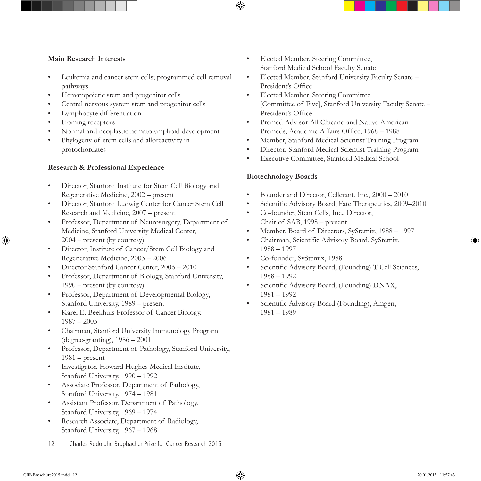## **Main Research Interests**

- Leukemia and cancer stem cells; programmed cell removal pathways
- Hematopoietic stem and progenitor cells
- Central nervous system stem and progenitor cells
- Lymphocyte differentiation
- Homing receptors
- Normal and neoplastic hematolymphoid development
- Phylogeny of stem cells and alloreactivity in protochordates

## **Research & Professional Experience**

- Director, Stanford Institute for Stem Cell Biology and Regenerative Medicine, 2002 – present
- Director, Stanford Ludwig Center for Cancer Stem Cell Research and Medicine, 2007 – present
- Professor, Department of Neurosurgery, Department of Medicine, Stanford University Medical Center, 2004 – present (by courtesy)
- Director, Institute of Cancer/Stem Cell Biology and Regenerative Medicine, 2003 – 2006
- Director Stanford Cancer Center, 2006 2010
- Professor, Department of Biology, Stanford University, 1990 – present (by courtesy)
- Professor, Department of Developmental Biology, Stanford University, 1989 – present
- Karel E. Beekhuis Professor of Cancer Biology, 1987 – 2005
- Chairman, Stanford University Immunology Program (degree-granting), 1986 – 2001
- Professor, Department of Pathology, Stanford University, 1981 – present
- Investigator, Howard Hughes Medical Institute, Stanford University, 1990 – 1992
- Associate Professor, Department of Pathology, Stanford University, 1974 – 1981
- Assistant Professor, Department of Pathology, Stanford University, 1969 – 1974
- Research Associate, Department of Radiology, Stanford University, 1967 – 1968
- Elected Member, Steering Committee, Stanford Medical School Faculty Senate
- Elected Member, Stanford University Faculty Senate President's Office
- Elected Member, Steering Committee [Committee of Five], Stanford University Faculty Senate – President's Office
- Premed Advisor All Chicano and Native American Premeds, Academic Affairs Office, 1968 – 1988
- Member, Stanford Medical Scientist Training Program
- Director, Stanford Medical Scientist Training Program
- Executive Committee, Stanford Medical School

## **Biotechnology Boards**

- Founder and Director, Cellerant, Inc., 2000 2010
- Scientific Advisory Board, Fate Therapeutics, 2009–2010
- Co-founder, Stem Cells, Inc., Director, Chair of SAB, 1998 – present
- Member, Board of Directors, SyStemix, 1988 1997
- Chairman, Scientific Advisory Board, SyStemix, 1988 – 1997
- Co-founder, SyStemix, 1988
- Scientific Advisory Board, (Founding) T Cell Sciences, 1988 – 1992
- Scientific Advisory Board, (Founding) DNAX, 1981 – 1992
- Scientific Advisory Board (Founding), Amgen, 1981 – 1989

12 Charles Rodolphe Brupbacher Prize for Cancer Research 2015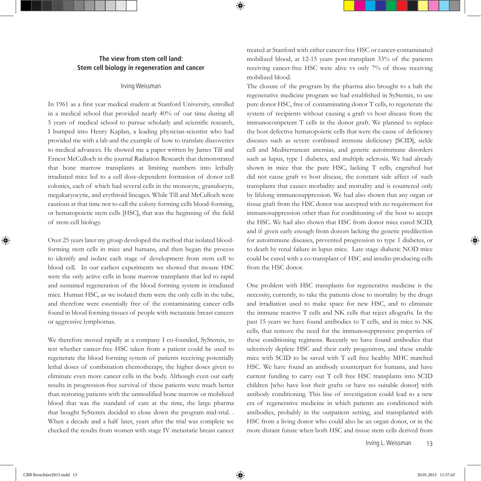#### **The view from stem cell land: Stem cell biology in regeneration and cancer**

#### Irving Weissman

In 1961 as a first year medical student at Stanford University, enrolled in a medical school that provided nearly 40% of our time during all 5 years of medical school to pursue scholarly and scientific research, I bumped into Henry Kaplan, a leading physician-scientist who had provided me with a lab and the example of how to translate discoveries to medical advances. He showed me a paper written by James Till and Ernest McCulloch in the journal Radiation Research that demonstrated that bone marrow transplants at limiting numbers into lethally irradiated mice led to a cell dose-dependent formation of donor cell colonies, each of which had several cells in the monocyte, granulocyte, megakaryocytic, and erythroid lineages. While Till and McCulloch were cautious at that time not to call the colony forming cells blood-forming, or hematopoietic stem cells [HSC], that was the beginning of the field of stem cell biology.

Over 25 years later my group developed the method that isolated bloodforming stem cells in mice and humans, and then began the process to identify and isolate each stage of development from stem cell to blood cell. In our earliest experiments we showed that mouse HSC were the only active cells in bone marrow transplants that led to rapid and sustained regeneration of the blood forming system in irradiated mice. Human HSC, as we isolated them were the only cells in the tube, and therefore were essentially free of the contaminating cancer cells found in blood forming tissues of people with metastatic breast cancers or aggressive lymphomas.

We therefore moved rapidly at a company I co-founded, SyStemix, to test whether cancer-free HSC taken from a patient could be used to regenerate the blood forming system of patients receiving potentially lethal doses of combination chemotherapy, the higher doses given to eliminate even more cancer cells in the body. Although even our early results in progression-free survival of these patients were much better than restoring patients with the unmodified bone marrow or mobilized blood that was the standard of care at the time, the large pharma that bought SyStemix decided to close down the program mid-trial. . When a decade and a half later, years after the trial was complete we checked the results from women with stage IV metastatic breast cancer treated at Stanford with either cancer-free HSC or cancer-contaminated mobilized blood, at 12-15 years post-transplant 33% of the patients receiving cancer-free HSC were alive vs only 7% of those receiving mobilized blood.

The closure of the program by the pharma also brought to a halt the regenerative medicine program we had established in SyStemix, to use pure donor HSC, free of contaminating donor T cells, to regenerate the system of recipients without causing a graft vs host disease from the immunocompetent T cells in the donor graft. We planned to replace the host defective hematopoietic cells that were the cause of deficiency diseases such as severe combined immune deficiency [SCID], sickle cell and Mediterranean anemias, and genetic autoimmune disorders such as lupus, type 1 diabetes, and multiple sclerosis. We had already shown in mice that the pure HSC, lacking T cells, engrafted but did not cause graft vs host disease, the constant side affect of such transplants that causes morbidity and mortality and is countered only by lifelong immunosuppression. We had also shown that any organ or tissue graft from the HSC donor was accepted with no requirement for immunosuppression other than for conditioning of the host to accept the HSC. We had also shown that HSC from donor mice cured SCID, and if given early enough from donors lacking the genetic predilection for autoimmune diseases, prevented progression to type 1 diabetes, or to death by renal failure in lupus mice. Late stage diabetic NOD mice could be cured with a co-transplant of HSC and insulin-producing cells from the HSC donor.

One problem with HSC transplants for regenerative medicine is the necessity, currently, to take the patients close to mortality by the drugs and irradiation used to make space for new HSC, and to eliminate the immune reactive T cells and NK cells that reject allografts. In the past 15 years we have found antibodies to T cells, and in mice to NK cells, that remove the need for the immunosuppressive properties of these conditioning regimens. Recently we have found antibodies that selectively deplete HSC and their early progenitors, and these enable mice with SCID to be saved with T cell free healthy MHC matched HSC. We have found an antibody counterpart for humans, and have current funding to carry out T cell free HSC transplants into SCID children [who have lost their grafts or have no suitable donor] with antibody conditioning. This line of investigation could lead to a new era of regenerative medicine in which patients are conditioned with antibodies, probably in the outpatient setting, and transplanted with HSC from a living donor who could also be an organ donor, or in the more distant future when both HSC and tissue stem cells derived from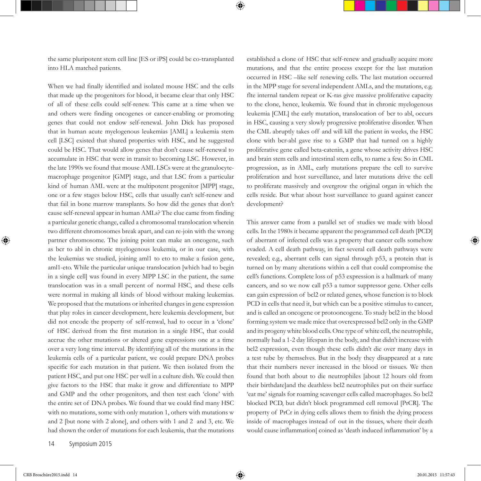the same pluripotent stem cell line [ES or iPS] could be co-transplanted into HLA matched patients.

When we had finally identified and isolated mouse HSC and the cells that made up the progenitors for blood, it became clear that only HSC of all of these cells could self-renew. This came at a time when we and others were finding oncogenes or cancer-enabling or promoting genes that could not endow self-renewal. John Dick has proposed that in human acute myelogenous leukemias [AML] a leukemia stem cell [LSC] existed that shared properties with HSC, and he suggested could be HSC. That would allow genes that don't cause self-renewal to accumulate in HSC that were in transit to becoming LSC. However, in the late 1990s we found that mouse AML LSCs were at the granulocytemacrophage progenitor [GMP] stage, and that LSC from a particular kind of human AML were at the multipotent progenitor [MPP] stage, one or a few stages below HSC, cells that usually can't self-renew and that fail in bone marrow transplants. So how did the genes that don't cause self-renewal appear in human AMLs? The clue came from finding a particular genetic change, called a chromosomal translocation wherein two different chromosomes break apart, and can re-join with the wrong partner chromosome. The joining point can make an oncogene, such as bcr to abl in chronic myelogenous leukemia, or in our case, with the leukemias we studied, joining aml1 to eto to make a fusion gene, aml1-eto. While the particular unique translocation [which had to begin in a single cell] was found in every MPP LSC in the patient, the same translocation was in a small percent of normal HSC, and these cells were normal in making all kinds of blood without making leukemias. We proposed that the mutations or inherited changes in gene expression that play roles in cancer development, here leukemia development, but did not encode the property of self-renwal, had to occur in a 'clone' of HSC derived from the first mutation in a single HSC, that could accrue the other mutations or altered gene expressions one at a time over a very long time interval. By identifying all of the mutations in the leukemia cells of a particular patient, we could prepare DNA probes specific for each mutation in that patient. We then isolated from the patient HSC, and put one HSC per well in a culture dish. We could then give factors to the HSC that make it grow and differentiate to MPP and GMP and the other progenitors, and then test each 'clone' with the entire set of DNA probes. We found that we could find many HSC with no mutations, some with only mutation 1, others with mutations w and 2 [but none with 2 alone], and others with 1 and 2 and 3, etc. We had shown the order of mutations for each leukemia, that the mutations

established a clone of HSC that self-renew and gradually acquire more mutations, and that the entire process except for the last mutation occurred in HSC –like self renewing cells. The last mutation occurred in the MPP stage for several independent AMLs, and the mutations, e.g. flte internal tandem repeat or K-ras give massive proliferative capacity to the clone, hence, leukemia. We found that in chronic myelogenous leukemia [CML] the early mutation, translocation of bcr to abl, occurs in HSC, causing a very slowly progressive proliferative disorder. When the CML abruptly takes off and will kill the patient in weeks, the HSC clone with bcr-abl gave rise to a GMP that had turned on a highly proliferative gene called beta-catenin, a gene whose activity drives HSC and brain stem cells and intestinal stem cells, to name a few. So in CML progression, as in AML, early mutations prepare the cell to survive proliferation and host surveillance, and later mutations drive the cell to proliferate massively and overgrow the original organ in which the cells reside. But what about host surveillance to guard against cancer development?

This answer came from a parallel set of studies we made with blood cells. In the 1980s it became apparent the programmed cell death [PCD] of aberrant of infected cells was a property that cancer cells somehow evaded. A cell death pathway, in fact several cell death pathways were revealed; e.g., aberrant cells can signal through p53, a protein that is turned on by many alterations within a cell that could compromise the cell's functions. Complete loss of p53 expression is a hallmark of many cancers, and so we now call p53 a tumor suppressor gene. Other cells can gain expression of bcl2 or related genes, whose function is to block PCD in cells that need it, but which can be a positive stimulus to cancer, and is called an oncogene or protooncogene. To study bcl2 in the blood forming system we made mice that overexpressed bcl2 only in the GMP and its progeny white blood cells. One type of white cell, the neutrophile, normally had a 1-2 day lifespan in the body, and that didn't increase with bcl2 expression, even though these cells didn't die over many days in a test tube by themselves. But in the body they disappeared at a rate that their numbers never increased in the blood or tissues. We then found that both about to die neutrophiles [about 12 hours old from their birthdate]and the deathless bcl2 neutrophiles put on their surface 'eat me' signals for roaming scavenger cells called macrophages. So bcl2 blocked PCD, but didn't block programmed cell removal [PrCR]. The property of PrCr in dying cells allows them to finish the dying process inside of macrophages instead of out in the tissues, where their death would cause inflammation[ coined as 'death induced inflammation' by a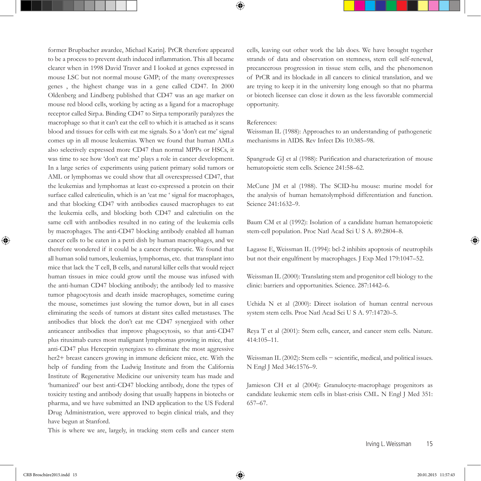former Brupbacher awardee, Michael Karin]. PrCR therefore appeared to be a process to prevent death induced inflammation. This all became clearer when in 1998 David Traver and I looked at genes expressed in mouse LSC but not normal mouse GMP; of the many overexpresses genes , the highest change was in a gene called CD47. In 2000 Oldenberg and Lindberg published that CD47 was an age marker on mouse red blood cells, working by acting as a ligand for a macrophage receptor called Sirp.a. Binding CD47 to Sirp.a temporarily paralyzes the macrophage so that it can't eat the cell to which it is attached as it scans blood and tissues for cells with eat me signals. So a 'don't eat me' signal comes up in all mouse leukemias. When we found that human AMLs also selectively expressed more CD47 than normal MPPs or HSCs, it was time to see how 'don't eat me' plays a role in cancer development. In a large series of experiments using patient primary solid tumors or AML or lymphomas we could show that all overexpressed CD47, that the leukemias and lymphomas at least co-expressed a protein on their surface called calreticulin, which is an 'eat me ' signal for macrophages, and that blocking CD47 with antibodies caused macrophages to eat the leukemia cells, and blocking both CD47 and calretiulin on the same cell with antibodies resulted in no eating of the leukemia cells by macrophages. The anti-CD47 blocking antibody enabled all human cancer cells to be eaten in a petri dish by human macrophages, and we therefore wondered if it could be a cancer therapeutic. We found that all human solid tumors, leukemias, lymphomas, etc. that transplant into mice that lack the T cell, B cells, and natural killer cells that would reject human tissues in mice could grow until the mouse was infused with the anti-human CD47 blocking antibody; the antibody led to massive tumor phagocytosis and death inside macrophages, sometime curing the mouse, sometimes just slowing the tumor down, but in all cases eliminating the seeds of tumors at distant sites called metastases. The antibodies that block the don't eat me CD47 synergized with other anticancer antibodies that improve phagocytosis, so that anti-CD47 plus rituximab cures most malignant lymphomas growing in mice, that anti-CD47 plus Herceptin synergizes to eliminate the most aggressive her<sub>2</sub>+ breast cancers growing in immune deficient mice, etc. With the help of funding from the Ludwig Institute and from the California Institute of Regenerative Medicine our university team has made and 'humanized' our best anti-CD47 blocking antibody, done the types of toxicity testing and antibody dosing that usually happens in biotechs or pharma, and we have submitted an IND application to the US Federal Drug Administration, were approved to begin clinical trials, and they have begun at Stanford.

This is where we are, largely, in tracking stem cells and cancer stem

cells, leaving out other work the lab does. We have brought together strands of data and observation on stemness, stem cell self-renewal, precancerous progression in tissue stem cells, and the phenomenon of PrCR and its blockade in all cancers to clinical translation, and we are trying to keep it in the university long enough so that no pharma or biotech licensee can close it down as the less favorable commercial opportunity.

#### References:

Weissman IL (1988): Approaches to an understanding of pathogenetic mechanisms in AIDS. Rev Infect Dis 10:385–98.

Spangrude GJ et al (1988): Purification and characterization of mouse hematopoietic stem cells. Science 241:58–62.

McCune JM et al (1988). The SCID-hu mouse: murine model for the analysis of human hematolymphoid differentiation and function. Science 241:1632–9.

Baum CM et al (1992): Isolation of a candidate human hematopoietic stem-cell population. Proc Natl Acad Sci U S A. 89:2804–8.

Lagasse E, Weissman IL (1994): bcl-2 inhibits apoptosis of neutrophils but not their engulfment by macrophages. J Exp Med 179:1047–52.

Weissman IL (2000): Translating stem and progenitor cell biology to the clinic: barriers and opportunities. Science. 287:1442–6.

Uchida N et al (2000): Direct isolation of human central nervous system stem cells. Proc Natl Acad Sci U S A. 97:14720–5.

Reya T et al (2001): Stem cells, cancer, and cancer stem cells. Nature. 414:105–11.

Weissman IL (2002): Stem cells − scientific, medical, and political issues. N Engl J Med 346:1576–9.

Jamieson CH et al (2004): Granulocyte-macrophage progenitors as candidate leukemic stem cells in blast-crisis CML. N Engl J Med 351: 657–67.